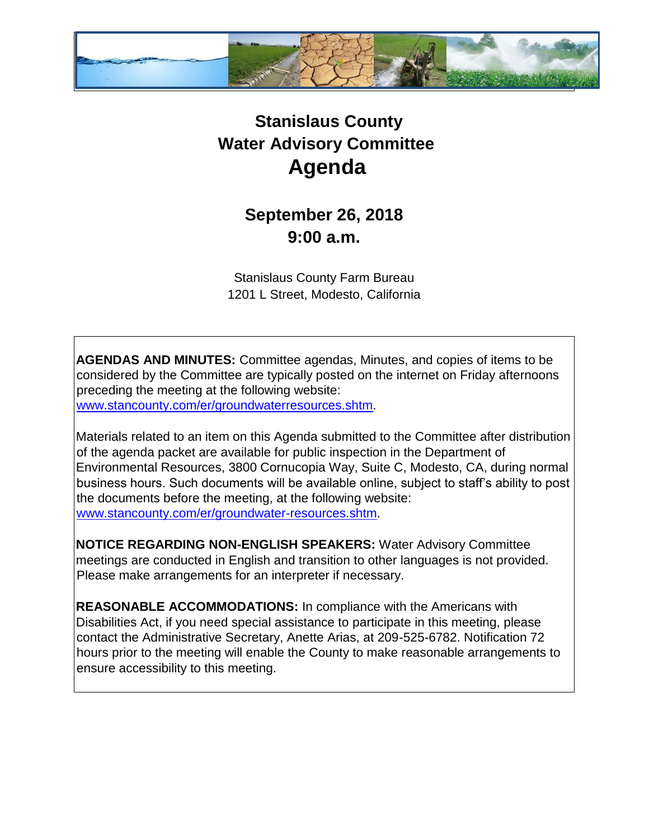

## **Stanislaus County Water Advisory Committee Agenda**

## **September 26, 2018 9:00 a.m.**

Stanislaus County Farm Bureau 1201 L Street, Modesto, California

**AGENDAS AND MINUTES:** Committee agendas, Minutes, and copies of items to be considered by the Committee are typically posted on the internet on Friday afternoons preceding the meeting at the following website: [www.stancounty.com/er/groundwaterresources.shtm.](http://www.stancounty.com/er/groundwater-resources.shtm) 

Materials related to an item on this Agenda submitted to the Committee after distribution of the agenda packet are available for public inspection in the Department of Environmental Resources, 3800 Cornucopia Way, Suite C, Modesto, CA, during normal business hours. Such documents will be available online, subject to staff's ability to post the documents before the meeting, at the following website: [www.stancounty.com/er/groundwater-resources.shtm.](http://www.stancounty.com/er/groundwater-resources.shtm) 

**NOTICE REGARDING NON-ENGLISH SPEAKERS:** Water Advisory Committee meetings are conducted in English and transition to other languages is not provided. Please make arrangements for an interpreter if necessary.

**REASONABLE ACCOMMODATIONS:** In compliance with the Americans with Disabilities Act, if you need special assistance to participate in this meeting, please contact the Administrative Secretary, Anette Arias, at 209-525-6782. Notification 72 hours prior to the meeting will enable the County to make reasonable arrangements to ensure accessibility to this meeting.